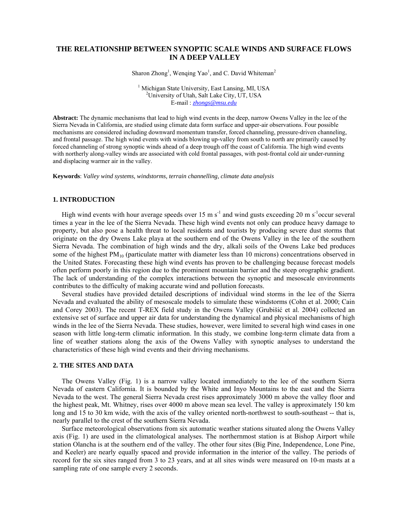# **THE RELATIONSHIP BETWEEN SYNOPTIC SCALE WINDS AND SURFACE FLOWS IN A DEEP VALLEY**

Sharon Zhong<sup>1</sup>, Wenqing Yao<sup>1</sup>, and C. David Whiteman<sup>2</sup>

<sup>1</sup> Michigan State University, East Lansing, MI, USA  $^{2}$ University of Utab Salt Lake City, UT, USA <sup>2</sup>University of Utah, Salt Lake City, UT, USA E-mail : *zhongs@msu.edu*

**Abstract:** The dynamic mechanisms that lead to high wind events in the deep, narrow Owens Valley in the lee of the Sierra Nevada in California, are studied using climate data form surface and upper-air observations. Four possible mechanisms are considered including downward momentum transfer, forced channeling, pressure-driven channeling, and frontal passage. The high wind events with winds blowing up-valley from south to north are primarily caused by forced channeling of strong synoptic winds ahead of a deep trough off the coast of California. The high wind events with northerly along-valley winds are associated with cold frontal passages, with post-frontal cold air under-running and displacing warmer air in the valley.

**Keywords**: *Valley wind systems, windstorms, terrain channelling, climate data analysis* 

# **1. INTRODUCTION**

High wind events with hour average speeds over 15 m  $s^{-1}$  and wind gusts exceeding 20 m  $s^{-1}$ occur several times a year in the lee of the Sierra Nevada. These high wind events not only can produce heavy damage to property, but also pose a health threat to local residents and tourists by producing severe dust storms that originate on the dry Owens Lake playa at the southern end of the Owens Valley in the lee of the southern Sierra Nevada. The combination of high winds and the dry, alkali soils of the Owens Lake bed produces some of the highest  $PM_{10}$  (particulate matter with diameter less than 10 microns) concentrations observed in the United States. Forecasting these high wind events has proven to be challenging because forecast models often perform poorly in this region due to the prominent mountain barrier and the steep orographic gradient. The lack of understanding of the complex interactions between the synoptic and mesoscale environments contributes to the difficulty of making accurate wind and pollution forecasts.

Several studies have provided detailed descriptions of individual wind storms in the lee of the Sierra Nevada and evaluated the ability of mesoscale models to simulate these windstorms (Cohn et al. 2000; Cain and Corey 2003). The recent T-REX field study in the Owens Valley (Grubišić et al. 2004) collected an extensive set of surface and upper air data for understanding the dynamical and physical mechanisms of high winds in the lee of the Sierra Nevada. These studies, however, were limited to several high wind cases in one season with little long-term climatic information. In this study, we combine long-term climate data from a line of weather stations along the axis of the Owens Valley with synoptic analyses to understand the characteristics of these high wind events and their driving mechanisms.

#### **2. THE SITES AND DATA**

The Owens Valley (Fig. 1) is a narrow valley located immediately to the lee of the southern Sierra Nevada of eastern California. It is bounded by the White and Inyo Mountains to the east and the Sierra Nevada to the west. The general Sierra Nevada crest rises approximately 3000 m above the valley floor and the highest peak, Mt. Whitney, rises over 4000 m above mean sea level. The valley is approximately 150 km long and 15 to 30 km wide, with the axis of the valley oriented north-northwest to south-southeast -- that is, nearly parallel to the crest of the southern Sierra Nevada.

Surface meteorological observations from six automatic weather stations situated along the Owens Valley axis (Fig. 1) are used in the climatological analyses. The northernmost station is at Bishop Airport while station Olancha is at the southern end of the valley. The other four sites (Big Pine, Independence, Lone Pine, and Keeler) are nearly equally spaced and provide information in the interior of the valley. The periods of record for the six sites ranged from 3 to 23 years, and at all sites winds were measured on 10-m masts at a sampling rate of one sample every 2 seconds.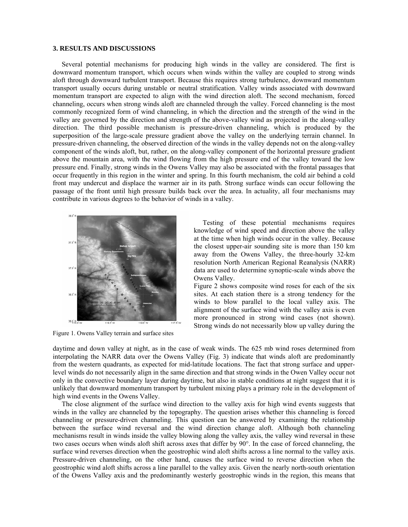### **3. RESULTS AND DISCUSSIONS**

Several potential mechanisms for producing high winds in the valley are considered. The first is downward momentum transport, which occurs when winds within the valley are coupled to strong winds aloft through downward turbulent transport. Because this requires strong turbulence, downward momentum transport usually occurs during unstable or neutral stratification. Valley winds associated with downward momentum transport are expected to align with the wind direction aloft. The second mechanism, forced channeling, occurs when strong winds aloft are channeled through the valley. Forced channeling is the most commonly recognized form of wind channeling, in which the direction and the strength of the wind in the valley are governed by the direction and strength of the above-valley wind as projected in the along-valley direction. The third possible mechanism is pressure-driven channeling, which is produced by the superposition of the large-scale pressure gradient above the valley on the underlying terrain channel. In pressure-driven channeling, the observed direction of the winds in the valley depends not on the along-valley component of the winds aloft, but, rather, on the along-valley component of the horizontal pressure gradient above the mountain area, with the wind flowing from the high pressure end of the valley toward the low pressure end. Finally, strong winds in the Owens Valley may also be associated with the frontal passages that occur frequently in this region in the winter and spring. In this fourth mechanism, the cold air behind a cold front may undercut and displace the warmer air in its path. Strong surface winds can occur following the passage of the front until high pressure builds back over the area. In actuality, all four mechanisms may contribute in various degrees to the behavior of winds in a valley.



Figure 1. Owens Valley terrain and surface sites

Testing of these potential mechanisms requires knowledge of wind speed and direction above the valley at the time when high winds occur in the valley. Because the closest upper-air sounding site is more than 150 km away from the Owens Valley, the three-hourly 32-km resolution North American Regional Reanalysis (NARR) data are used to determine synoptic-scale winds above the Owens Valley.

Figure 2 shows composite wind roses for each of the six sites. At each station there is a strong tendency for the winds to blow parallel to the local valley axis. The alignment of the surface wind with the valley axis is even more pronounced in strong wind cases (not shown). Strong winds do not necessarily blow up valley during the

daytime and down valley at night, as in the case of weak winds. The 625 mb wind roses determined from interpolating the NARR data over the Owens Valley (Fig. 3) indicate that winds aloft are predominantly from the western quadrants, as expected for mid-latitude locations. The fact that strong surface and upperlevel winds do not necessarily align in the same direction and that strong winds in the Owen Valley occur not only in the convective boundary layer during daytime, but also in stable conditions at night suggest that it is unlikely that downward momentum transport by turbulent mixing plays a primary role in the development of high wind events in the Owens Valley.

The close alignment of the surface wind direction to the valley axis for high wind events suggests that winds in the valley are channeled by the topography. The question arises whether this channeling is forced channeling or pressure-driven channeling. This question can be answered by examining the relationship between the surface wind reversal and the wind direction change aloft. Although both channeling mechanisms result in winds inside the valley blowing along the valley axis, the valley wind reversal in these two cases occurs when winds aloft shift across axes that differ by 90°. In the case of forced channeling, the surface wind reverses direction when the geostrophic wind aloft shifts across a line normal to the valley axis. Pressure-driven channeling, on the other hand, causes the surface wind to reverse direction when the geostrophic wind aloft shifts across a line parallel to the valley axis. Given the nearly north-south orientation of the Owens Valley axis and the predominantly westerly geostrophic winds in the region, this means that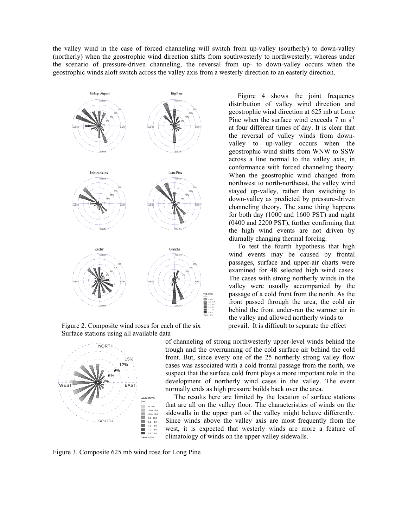the valley wind in the case of forced channeling will switch from up-valley (southerly) to down-valley (northerly) when the geostrophic wind direction shifts from southwesterly to northwesterly; whereas under the scenario of pressure-driven channeling, the reversal from up- to down-valley occurs when the geostrophic winds aloft switch across the valley axis from a westerly direction to an easterly direction.



Figure 2. Composite wind roses for each of the six prevail. It is difficult to separate the effect Surface stations using all available data



Figure 4 shows the joint frequency distribution of valley wind direction and geostrophic wind direction at 625 mb at Lone Pine when the surface wind exceeds  $7 \text{ m s}^{-1}$ at four different times of day. It is clear that the reversal of valley winds from downvalley to up-valley occurs when the geostrophic wind shifts from WNW to SSW across a line normal to the valley axis, in conformance with forced channeling theory. When the geostrophic wind changed from northwest to north-northeast, the valley wind stayed up-valley, rather than switching to down-valley as predicted by pressure-driven channeling theory. The same thing happens for both day (1000 and 1600 PST) and night (0400 and 2200 PST), further confirming that the high wind events are not driven by diurnally changing thermal forcing.

To test the fourth hypothesis that high wind events may be caused by frontal passages, surface and upper-air charts were examined for 48 selected high wind cases. The cases with strong northerly winds in the valley were usually accompanied by the passage of a cold front from the north. As the front passed through the area, the cold air behind the front under-ran the warmer air in the valley and allowed northerly winds to

of channeling of strong northwesterly upper-level winds behind the trough and the overrunning of the cold surface air behind the cold front. But, since every one of the 25 northerly strong valley flow cases was associated with a cold frontal passage from the north, we suspect that the surface cold front plays a more important role in the development of northerly wind cases in the valley. The event normally ends as high pressure builds back over the area.

The results here are limited by the location of surface stations that are all on the valley floor. The characteristics of winds on the sidewalls in the upper part of the valley might behave differently. Since winds above the valley axis are most frequently from the west, it is expected that westerly winds are more a feature of climatology of winds on the upper-valley sidewalls.

Figure 3. Composite 625 mb wind rose for Long Pine